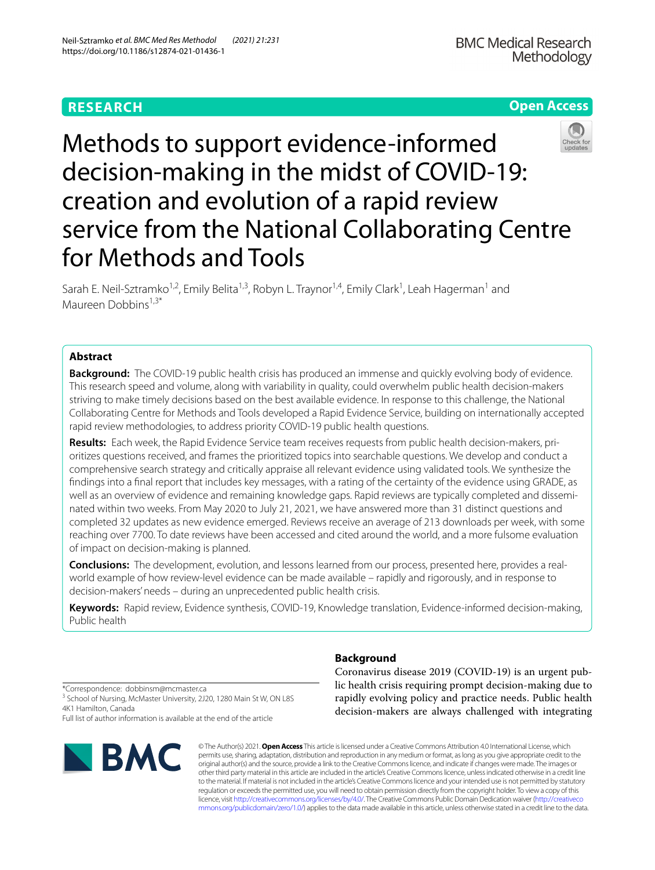# **RESEARCH**



# Methods to support evidence‑informed decision-making in the midst of COVID-19: creation and evolution of a rapid review service from the National Collaborating Centre for Methods and Tools

Sarah E. Neil-Sztramko<sup>1,2</sup>, Emily Belita<sup>1,3</sup>, Robyn L. Traynor<sup>1,4</sup>, Emily Clark<sup>1</sup>, Leah Hagerman<sup>1</sup> and Maureen Dobbins<sup>1,3\*</sup>

# **Abstract**

**Background:** The COVID-19 public health crisis has produced an immense and quickly evolving body of evidence. This research speed and volume, along with variability in quality, could overwhelm public health decision-makers striving to make timely decisions based on the best available evidence. In response to this challenge, the National Collaborating Centre for Methods and Tools developed a Rapid Evidence Service, building on internationally accepted rapid review methodologies, to address priority COVID-19 public health questions.

**Results:** Each week, the Rapid Evidence Service team receives requests from public health decision-makers, pri‑ oritizes questions received, and frames the prioritized topics into searchable questions. We develop and conduct a comprehensive search strategy and critically appraise all relevant evidence using validated tools. We synthesize the fndings into a fnal report that includes key messages, with a rating of the certainty of the evidence using GRADE, as well as an overview of evidence and remaining knowledge gaps. Rapid reviews are typically completed and disseminated within two weeks. From May 2020 to July 21, 2021, we have answered more than 31 distinct questions and completed 32 updates as new evidence emerged. Reviews receive an average of 213 downloads per week, with some reaching over 7700. To date reviews have been accessed and cited around the world, and a more fulsome evaluation of impact on decision-making is planned.

**Conclusions:** The development, evolution, and lessons learned from our process, presented here, provides a realworld example of how review-level evidence can be made available – rapidly and rigorously, and in response to decision-makers' needs – during an unprecedented public health crisis.

**Keywords:** Rapid review, Evidence synthesis, COVID-19, Knowledge translation, Evidence-informed decision-making, Public health

**Background**

Coronavirus disease 2019 (COVID-19) is an urgent public health crisis requiring prompt decision-making due to rapidly evolving policy and practice needs. Public health decision-makers are always challenged with integrating

\*Correspondence: dobbinsm@mcmaster.ca <sup>3</sup> School of Nursing, McMaster University, 2J20, 1280 Main St W, ON L8S 4K1 Hamilton, Canada Full list of author information is available at the end of the article



© The Author(s) 2021. **Open Access** This article is licensed under a Creative Commons Attribution 4.0 International License, which permits use, sharing, adaptation, distribution and reproduction in any medium or format, as long as you give appropriate credit to the original author(s) and the source, provide a link to the Creative Commons licence, and indicate if changes were made. The images or other third party material in this article are included in the article's Creative Commons licence, unless indicated otherwise in a credit line to the material. If material is not included in the article's Creative Commons licence and your intended use is not permitted by statutory regulation or exceeds the permitted use, you will need to obtain permission directly from the copyright holder. To view a copy of this licence, visit [http://creativecommons.org/licenses/by/4.0/.](http://creativecommons.org/licenses/by/4.0/) The Creative Commons Public Domain Dedication waiver ([http://creativeco](http://creativecommons.org/publicdomain/zero/1.0/) [mmons.org/publicdomain/zero/1.0/](http://creativecommons.org/publicdomain/zero/1.0/)) applies to the data made available in this article, unless otherwise stated in a credit line to the data.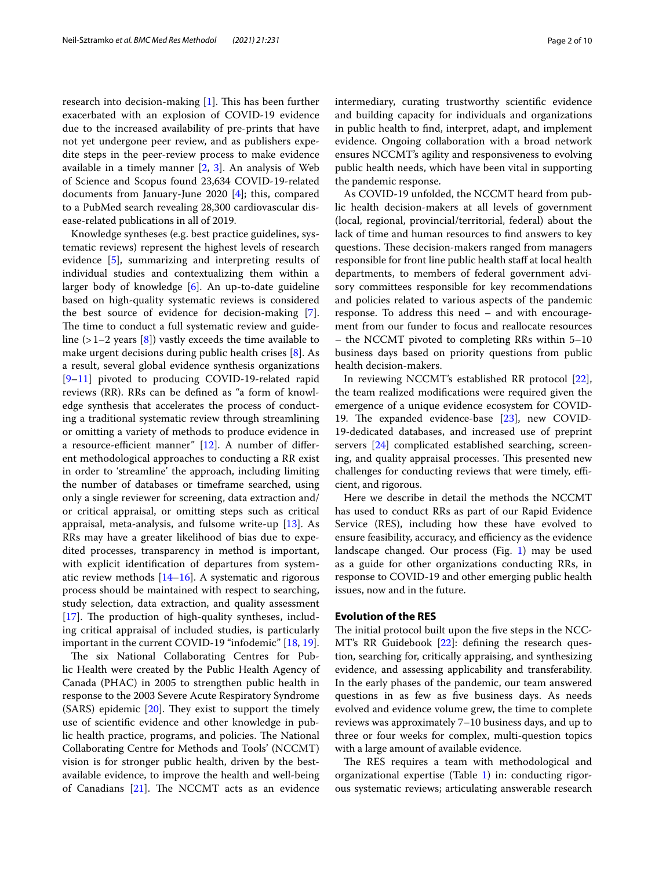research into decision-making  $[1]$  $[1]$ . This has been further exacerbated with an explosion of COVID-19 evidence due to the increased availability of pre-prints that have not yet undergone peer review, and as publishers expedite steps in the peer-review process to make evidence available in a timely manner [[2](#page-8-1), [3](#page-8-2)]. An analysis of Web of Science and Scopus found 23,634 COVID-19-related documents from January-June 2020 [[4\]](#page-8-3); this, compared to a PubMed search revealing 28,300 cardiovascular disease-related publications in all of 2019.

Knowledge syntheses (e.g. best practice guidelines, systematic reviews) represent the highest levels of research evidence [[5\]](#page-8-4), summarizing and interpreting results of individual studies and contextualizing them within a larger body of knowledge [[6](#page-8-5)]. An up-to-date guideline based on high-quality systematic reviews is considered the best source of evidence for decision-making [\[7](#page-8-6)]. The time to conduct a full systematic review and guideline  $(>1-2$  years  $[8]$  $[8]$ ) vastly exceeds the time available to make urgent decisions during public health crises [[8\]](#page-8-7). As a result, several global evidence synthesis organizations [[9–](#page-8-8)[11\]](#page-8-9) pivoted to producing COVID-19-related rapid reviews (RR). RRs can be defned as "a form of knowledge synthesis that accelerates the process of conducting a traditional systematic review through streamlining or omitting a variety of methods to produce evidence in a resource-efficient manner"  $[12]$  $[12]$ . A number of different methodological approaches to conducting a RR exist in order to 'streamline' the approach, including limiting the number of databases or timeframe searched, using only a single reviewer for screening, data extraction and/ or critical appraisal, or omitting steps such as critical appraisal, meta-analysis, and fulsome write-up [\[13](#page-8-11)]. As RRs may have a greater likelihood of bias due to expedited processes, transparency in method is important, with explicit identifcation of departures from systematic review methods [\[14](#page-8-12)[–16\]](#page-9-0). A systematic and rigorous process should be maintained with respect to searching, study selection, data extraction, and quality assessment [[17\]](#page-9-1). The production of high-quality syntheses, including critical appraisal of included studies, is particularly important in the current COVID-19 "infodemic" [[18,](#page-9-2) [19](#page-9-3)].

The six National Collaborating Centres for Public Health were created by the Public Health Agency of Canada (PHAC) in 2005 to strengthen public health in response to the 2003 Severe Acute Respiratory Syndrome  $(SARS)$  epidemic  $[20]$  $[20]$  $[20]$ . They exist to support the timely use of scientifc evidence and other knowledge in public health practice, programs, and policies. The National Collaborating Centre for Methods and Tools' (NCCMT) vision is for stronger public health, driven by the bestavailable evidence, to improve the health and well-being of Canadians  $[21]$  $[21]$ . The NCCMT acts as an evidence intermediary, curating trustworthy scientifc evidence and building capacity for individuals and organizations in public health to fnd, interpret, adapt, and implement evidence. Ongoing collaboration with a broad network ensures NCCMT's agility and responsiveness to evolving public health needs, which have been vital in supporting

As COVID-19 unfolded, the NCCMT heard from public health decision-makers at all levels of government (local, regional, provincial/territorial, federal) about the lack of time and human resources to fnd answers to key questions. These decision-makers ranged from managers responsible for front line public health staff at local health departments, to members of federal government advisory committees responsible for key recommendations and policies related to various aspects of the pandemic response. To address this need – and with encouragement from our funder to focus and reallocate resources – the NCCMT pivoted to completing RRs within 5–10 business days based on priority questions from public health decision-makers.

In reviewing NCCMT's established RR protocol [\[22](#page-9-6)], the team realized modifcations were required given the emergence of a unique evidence ecosystem for COVID-19. The expanded evidence-base  $[23]$ , new COVID-19-dedicated databases, and increased use of preprint servers [\[24\]](#page-9-8) complicated established searching, screening, and quality appraisal processes. This presented new challenges for conducting reviews that were timely, efficient, and rigorous.

Here we describe in detail the methods the NCCMT has used to conduct RRs as part of our Rapid Evidence Service (RES), including how these have evolved to ensure feasibility, accuracy, and efficiency as the evidence landscape changed. Our process (Fig. [1\)](#page-2-0) may be used as a guide for other organizations conducting RRs, in response to COVID-19 and other emerging public health issues, now and in the future.

# **Evolution of the RES**

the pandemic response.

The initial protocol built upon the five steps in the NCC-MT's RR Guidebook [[22\]](#page-9-6): defning the research question, searching for, critically appraising, and synthesizing evidence, and assessing applicability and transferability. In the early phases of the pandemic, our team answered questions in as few as fve business days. As needs evolved and evidence volume grew, the time to complete reviews was approximately 7–10 business days, and up to three or four weeks for complex, multi-question topics with a large amount of available evidence.

The RES requires a team with methodological and organizational expertise (Table [1](#page-3-0)) in: conducting rigorous systematic reviews; articulating answerable research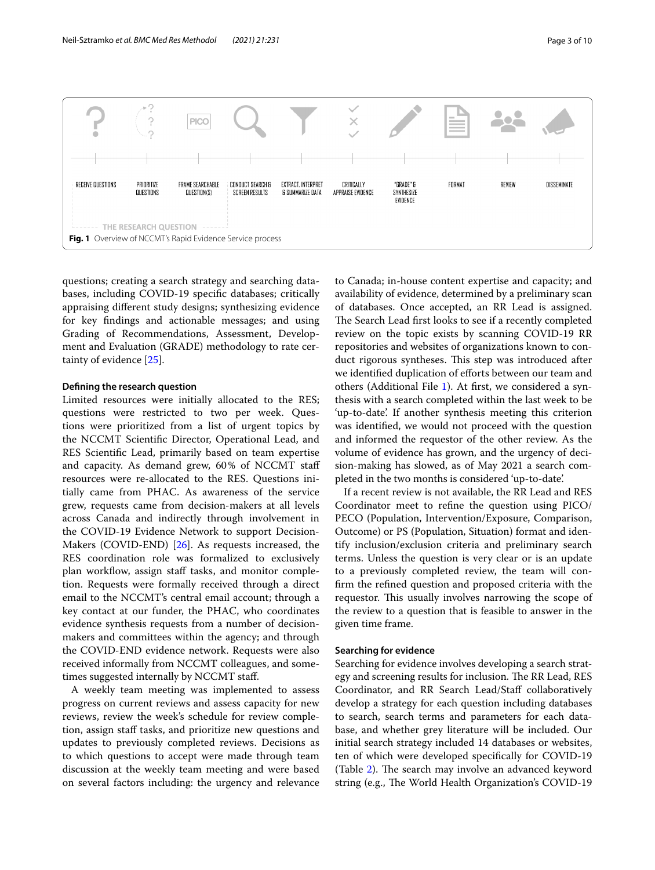

<span id="page-2-0"></span>questions; creating a search strategy and searching databases, including COVID-19 specifc databases; critically appraising diferent study designs; synthesizing evidence for key fndings and actionable messages; and using Grading of Recommendations, Assessment, Development and Evaluation (GRADE) methodology to rate certainty of evidence [\[25](#page-9-9)].

# **Defning the research question**

Limited resources were initially allocated to the RES; questions were restricted to two per week. Questions were prioritized from a list of urgent topics by the NCCMT Scientifc Director, Operational Lead, and RES Scientifc Lead, primarily based on team expertise and capacity. As demand grew, 60% of NCCMT staf resources were re-allocated to the RES. Questions initially came from PHAC. As awareness of the service grew, requests came from decision-makers at all levels across Canada and indirectly through involvement in the COVID-19 Evidence Network to support Decision-Makers (COVID-END) [\[26](#page-9-10)]. As requests increased, the RES coordination role was formalized to exclusively plan workflow, assign staff tasks, and monitor completion. Requests were formally received through a direct email to the NCCMT's central email account; through a key contact at our funder, the PHAC, who coordinates evidence synthesis requests from a number of decisionmakers and committees within the agency; and through the COVID-END evidence network. Requests were also received informally from NCCMT colleagues, and sometimes suggested internally by NCCMT staf.

A weekly team meeting was implemented to assess progress on current reviews and assess capacity for new reviews, review the week's schedule for review completion, assign staff tasks, and prioritize new questions and updates to previously completed reviews. Decisions as to which questions to accept were made through team discussion at the weekly team meeting and were based on several factors including: the urgency and relevance to Canada; in-house content expertise and capacity; and availability of evidence, determined by a preliminary scan of databases. Once accepted, an RR Lead is assigned. The Search Lead first looks to see if a recently completed review on the topic exists by scanning COVID-19 RR repositories and websites of organizations known to conduct rigorous syntheses. This step was introduced after we identified duplication of efforts between our team and others (Additional File [1\)](#page-8-13). At frst, we considered a synthesis with a search completed within the last week to be 'up-to-date'. If another synthesis meeting this criterion was identifed, we would not proceed with the question and informed the requestor of the other review. As the volume of evidence has grown, and the urgency of decision-making has slowed, as of May 2021 a search completed in the two months is considered 'up-to-date'.

If a recent review is not available, the RR Lead and RES Coordinator meet to refne the question using PICO/ PECO (Population, Intervention/Exposure, Comparison, Outcome) or PS (Population, Situation) format and identify inclusion/exclusion criteria and preliminary search terms. Unless the question is very clear or is an update to a previously completed review, the team will confrm the refned question and proposed criteria with the requestor. This usually involves narrowing the scope of the review to a question that is feasible to answer in the given time frame.

# **Searching for evidence**

Searching for evidence involves developing a search strategy and screening results for inclusion. The RR Lead, RES Coordinator, and RR Search Lead/Staff collaboratively develop a strategy for each question including databases to search, search terms and parameters for each database, and whether grey literature will be included. Our initial search strategy included 14 databases or websites, ten of which were developed specifcally for COVID-19 (Table [2](#page-4-0)). The search may involve an advanced keyword string (e.g., The World Health Organization's COVID-19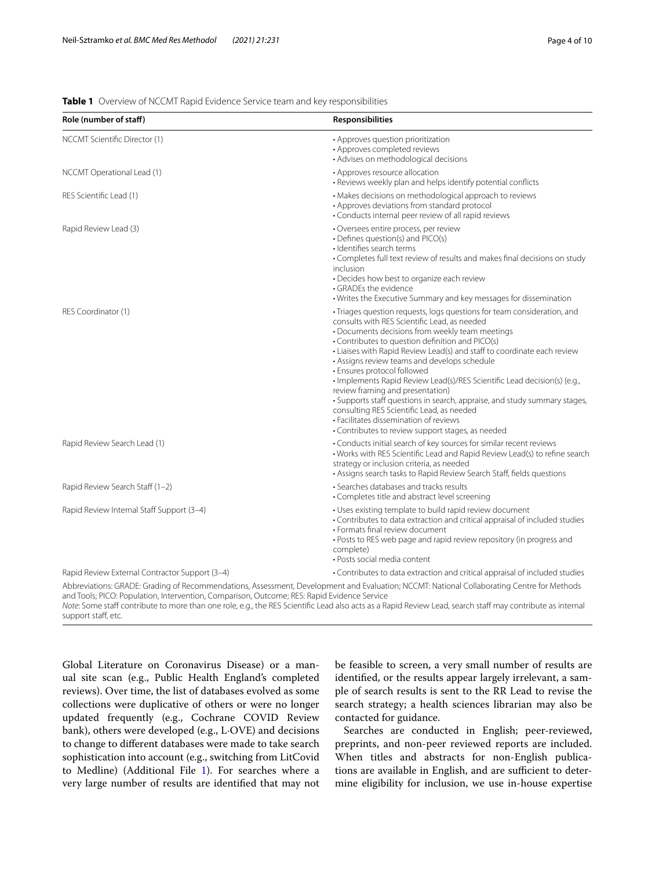# <span id="page-3-0"></span>**Table 1** Overview of NCCMT Rapid Evidence Service team and key responsibilities

| Role (number of staff)                                                                      | <b>Responsibilities</b>                                                                                                                                                                                                                                                                                                                                                                                                                                                                                                                                                                                                                                                                                                           |
|---------------------------------------------------------------------------------------------|-----------------------------------------------------------------------------------------------------------------------------------------------------------------------------------------------------------------------------------------------------------------------------------------------------------------------------------------------------------------------------------------------------------------------------------------------------------------------------------------------------------------------------------------------------------------------------------------------------------------------------------------------------------------------------------------------------------------------------------|
| NCCMT Scientific Director (1)                                                               | • Approves question prioritization<br>• Approves completed reviews<br>· Advises on methodological decisions                                                                                                                                                                                                                                                                                                                                                                                                                                                                                                                                                                                                                       |
| NCCMT Operational Lead (1)                                                                  | • Approves resource allocation<br>· Reviews weekly plan and helps identify potential conflicts                                                                                                                                                                                                                                                                                                                                                                                                                                                                                                                                                                                                                                    |
| RES Scientific Lead (1)                                                                     | • Makes decisions on methodological approach to reviews<br>• Approves deviations from standard protocol<br>• Conducts internal peer review of all rapid reviews                                                                                                                                                                                                                                                                                                                                                                                                                                                                                                                                                                   |
| Rapid Review Lead (3)                                                                       | • Oversees entire process, per review<br>• Defines question(s) and PICO(s)<br>· Identifies search terms<br>• Completes full text review of results and makes final decisions on study<br>inclusion<br>• Decides how best to organize each review<br>• GRADEs the evidence<br>• Writes the Executive Summary and key messages for dissemination                                                                                                                                                                                                                                                                                                                                                                                    |
| RES Coordinator (1)                                                                         | · Triages question requests, logs questions for team consideration, and<br>consults with RES Scientific Lead, as needed<br>• Documents decisions from weekly team meetings<br>• Contributes to question definition and PICO(s)<br>• Liaises with Rapid Review Lead(s) and staff to coordinate each review<br>• Assigns review teams and develops schedule<br>• Ensures protocol followed<br>· Implements Rapid Review Lead(s)/RES Scientific Lead decision(s) (e.g.,<br>review framing and presentation)<br>• Supports staff questions in search, appraise, and study summary stages,<br>consulting RES Scientific Lead, as needed<br>• Facilitates dissemination of reviews<br>• Contributes to review support stages, as needed |
| Rapid Review Search Lead (1)                                                                | • Conducts initial search of key sources for similar recent reviews<br>• Works with RES Scientific Lead and Rapid Review Lead(s) to refine search<br>strategy or inclusion criteria, as needed<br>• Assigns search tasks to Rapid Review Search Staff, fields questions                                                                                                                                                                                                                                                                                                                                                                                                                                                           |
| Rapid Review Search Staff (1-2)                                                             | • Searches databases and tracks results<br>• Completes title and abstract level screening                                                                                                                                                                                                                                                                                                                                                                                                                                                                                                                                                                                                                                         |
| Rapid Review Internal Staff Support (3-4)                                                   | • Uses existing template to build rapid review document<br>• Contributes to data extraction and critical appraisal of included studies<br>• Formats final review document<br>• Posts to RES web page and rapid review repository (in progress and<br>complete)<br>• Posts social media content                                                                                                                                                                                                                                                                                                                                                                                                                                    |
| Rapid Review External Contractor Support (3-4)                                              | • Contributes to data extraction and critical appraisal of included studies                                                                                                                                                                                                                                                                                                                                                                                                                                                                                                                                                                                                                                                       |
| and Tools; PICO: Population, Intervention, Comparison, Outcome; RES: Rapid Evidence Service | Abbreviations: GRADE: Grading of Recommendations, Assessment, Development and Evaluation; NCCMT: National Collaborating Centre for Methods<br>Note: Some staff contribute to more than one role, e.g., the RES Scientific Lead also acts as a Rapid Review Lead, search staff may contribute as internal                                                                                                                                                                                                                                                                                                                                                                                                                          |

support staff, etc.

Global Literature on Coronavirus Disease) or a manual site scan (e.g., Public Health England's completed reviews). Over time, the list of databases evolved as some collections were duplicative of others or were no longer updated frequently (e.g., Cochrane COVID Review bank), others were developed (e.g., L·OVE) and decisions to change to diferent databases were made to take search sophistication into account (e.g., switching from LitCovid to Medline) (Additional File [1\)](#page-8-13). For searches where a very large number of results are identifed that may not be feasible to screen, a very small number of results are identifed, or the results appear largely irrelevant, a sample of search results is sent to the RR Lead to revise the search strategy; a health sciences librarian may also be contacted for guidance.

Searches are conducted in English; peer-reviewed, preprints, and non-peer reviewed reports are included. When titles and abstracts for non-English publications are available in English, and are sufficient to determine eligibility for inclusion, we use in-house expertise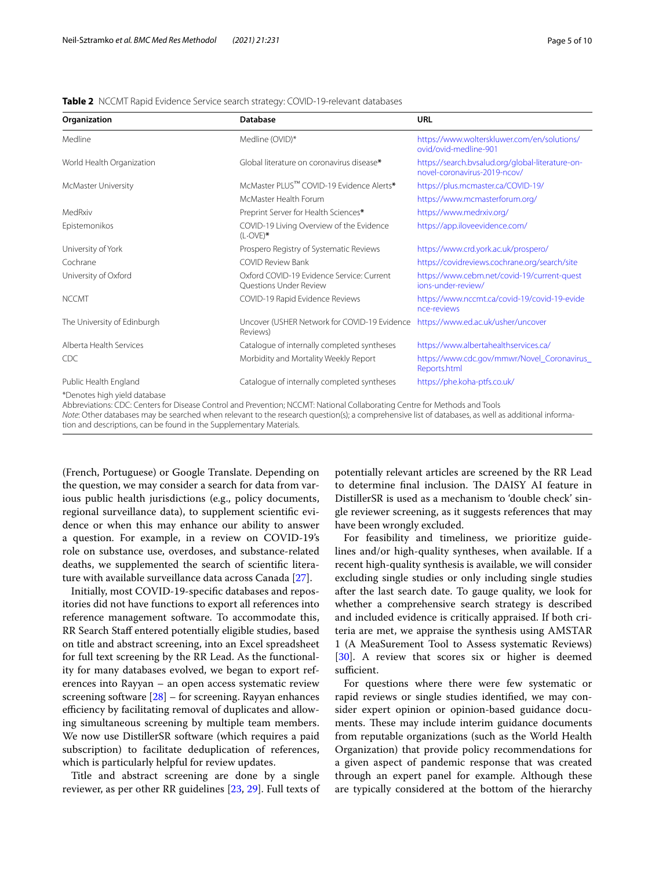# <span id="page-4-0"></span>**Table 2** NCCMT Rapid Evidence Service search strategy: COVID-19-relevant databases

| Organization                 | Database                                                            | URL                                                                              |
|------------------------------|---------------------------------------------------------------------|----------------------------------------------------------------------------------|
| Medline                      | Medline (OVID)*                                                     | https://www.wolterskluwer.com/en/solutions/<br>ovid/ovid-medline-901             |
| World Health Organization    | Global literature on coronavirus disease*                           | https://search.bvsalud.org/global-literature-on-<br>novel-coronavirus-2019-ncov/ |
| McMaster University          | McMaster PLUS™ COVID-19 Evidence Alerts*                            | https://plus.mcmaster.ca/COVID-19/                                               |
|                              | McMaster Health Forum                                               | https://www.mcmasterforum.org/                                                   |
| MedRxiv                      | Preprint Server for Health Sciences*                                | https://www.medrxiv.org/                                                         |
| Epistemonikos                | COVID-19 Living Overview of the Evidence<br>$(L\cdot OVE)$ *        | https://app.iloveevidence.com/                                                   |
| University of York           | Prospero Registry of Systematic Reviews                             | https://www.crd.york.ac.uk/prospero/                                             |
| Cochrane                     | <b>COVID Review Bank</b>                                            | https://covidreviews.cochrane.org/search/site                                    |
| University of Oxford         | Oxford COVID-19 Evidence Service: Current<br>Questions Under Review | https://www.cebm.net/covid-19/current-quest<br>ions-under-review/                |
| <b>NCCMT</b>                 | COVID-19 Rapid Evidence Reviews                                     | https://www.nccmt.ca/covid-19/covid-19-evide<br>nce-reviews                      |
| The University of Edinburgh  | Uncover (USHER Network for COVID-19 Evidence<br>Reviews)            | https://www.ed.ac.uk/usher/uncover                                               |
| Alberta Health Services      | Catalogue of internally completed syntheses                         | https://www.albertahealthservices.ca/                                            |
| CDC                          | Morbidity and Mortality Weekly Report                               | https://www.cdc.gov/mmwr/Novel_Coronavirus_<br>Reports.html                      |
| Public Health England        | Catalogue of internally completed syntheses                         | https://phe.koha-ptfs.co.uk/                                                     |
| *Denotes high yield database |                                                                     |                                                                                  |

Abbreviations: CDC: Centers for Disease Control and Prevention; NCCMT: National Collaborating Centre for Methods and Tools *Note*: Other databases may be searched when relevant to the research question(s); a comprehensive list of databases, as well as additional information and descriptions, can be found in the Supplementary Materials.

(French, Portuguese) or Google Translate. Depending on the question, we may consider a search for data from various public health jurisdictions (e.g., policy documents, regional surveillance data), to supplement scientifc evidence or when this may enhance our ability to answer a question. For example, in a review on COVID-19's role on substance use, overdoses, and substance-related deaths, we supplemented the search of scientifc literature with available surveillance data across Canada [[27\]](#page-9-11).

Initially, most COVID-19-specifc databases and repositories did not have functions to export all references into reference management software. To accommodate this, RR Search Staf entered potentially eligible studies, based on title and abstract screening, into an Excel spreadsheet for full text screening by the RR Lead. As the functionality for many databases evolved, we began to export references into Rayyan – an open access systematic review screening software  $[28]$  $[28]$  – for screening. Rayyan enhances efficiency by facilitating removal of duplicates and allowing simultaneous screening by multiple team members. We now use DistillerSR software (which requires a paid subscription) to facilitate deduplication of references, which is particularly helpful for review updates.

Title and abstract screening are done by a single reviewer, as per other RR guidelines [[23,](#page-9-7) [29](#page-9-13)]. Full texts of potentially relevant articles are screened by the RR Lead to determine final inclusion. The DAISY AI feature in DistillerSR is used as a mechanism to 'double check' single reviewer screening, as it suggests references that may have been wrongly excluded.

For feasibility and timeliness, we prioritize guidelines and/or high-quality syntheses, when available. If a recent high-quality synthesis is available, we will consider excluding single studies or only including single studies after the last search date. To gauge quality, we look for whether a comprehensive search strategy is described and included evidence is critically appraised. If both criteria are met, we appraise the synthesis using AMSTAR 1 (A MeaSurement Tool to Assess systematic Reviews) [[30\]](#page-9-14). A review that scores six or higher is deemed sufficient.

For questions where there were few systematic or rapid reviews or single studies identifed, we may consider expert opinion or opinion-based guidance documents. These may include interim guidance documents from reputable organizations (such as the World Health Organization) that provide policy recommendations for a given aspect of pandemic response that was created through an expert panel for example. Although these are typically considered at the bottom of the hierarchy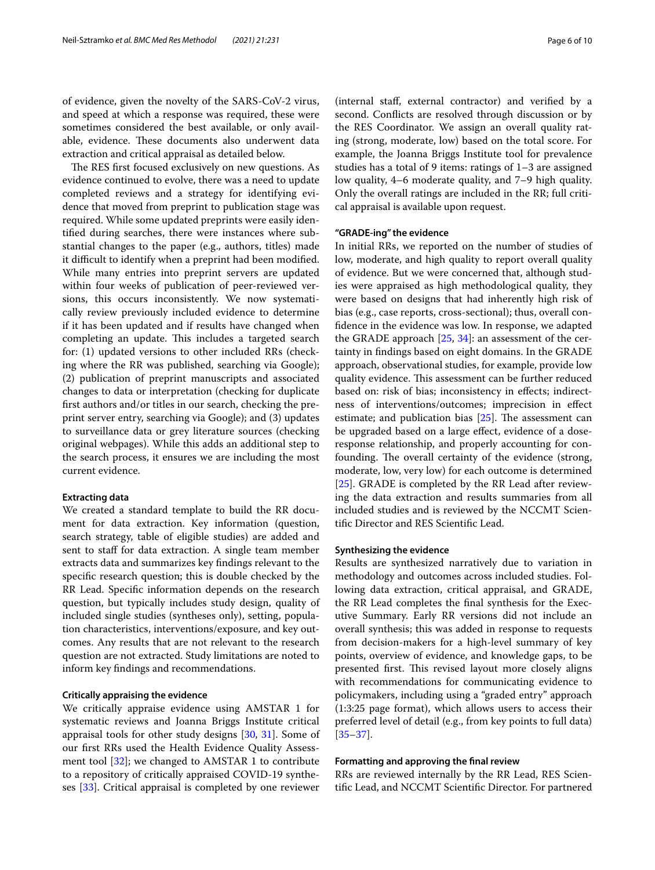of evidence, given the novelty of the SARS-CoV-2 virus, and speed at which a response was required, these were sometimes considered the best available, or only available, evidence. These documents also underwent data extraction and critical appraisal as detailed below.

The RES first focused exclusively on new questions. As evidence continued to evolve, there was a need to update completed reviews and a strategy for identifying evidence that moved from preprint to publication stage was required. While some updated preprints were easily identifed during searches, there were instances where substantial changes to the paper (e.g., authors, titles) made it difficult to identify when a preprint had been modified. While many entries into preprint servers are updated within four weeks of publication of peer-reviewed versions, this occurs inconsistently. We now systematically review previously included evidence to determine if it has been updated and if results have changed when completing an update. This includes a targeted search for: (1) updated versions to other included RRs (checking where the RR was published, searching via Google); (2) publication of preprint manuscripts and associated changes to data or interpretation (checking for duplicate frst authors and/or titles in our search, checking the preprint server entry, searching via Google); and (3) updates to surveillance data or grey literature sources (checking original webpages). While this adds an additional step to the search process, it ensures we are including the most current evidence.

# **Extracting data**

We created a standard template to build the RR document for data extraction. Key information (question, search strategy, table of eligible studies) are added and sent to staff for data extraction. A single team member extracts data and summarizes key fndings relevant to the specifc research question; this is double checked by the RR Lead. Specifc information depends on the research question, but typically includes study design, quality of included single studies (syntheses only), setting, population characteristics, interventions/exposure, and key outcomes. Any results that are not relevant to the research question are not extracted. Study limitations are noted to inform key fndings and recommendations.

# **Critically appraising the evidence**

We critically appraise evidence using AMSTAR 1 for systematic reviews and Joanna Briggs Institute critical appraisal tools for other study designs [\[30](#page-9-14), [31\]](#page-9-15). Some of our frst RRs used the Health Evidence Quality Assessment tool [\[32](#page-9-16)]; we changed to AMSTAR 1 to contribute to a repository of critically appraised COVID-19 syntheses [\[33](#page-9-17)]. Critical appraisal is completed by one reviewer

(internal staf, external contractor) and verifed by a second. Conficts are resolved through discussion or by the RES Coordinator. We assign an overall quality rating (strong, moderate, low) based on the total score. For example, the Joanna Briggs Institute tool for prevalence studies has a total of 9 items: ratings of 1–3 are assigned low quality, 4–6 moderate quality, and 7–9 high quality. Only the overall ratings are included in the RR; full critical appraisal is available upon request.

# **"GRADE‑ing" the evidence**

In initial RRs, we reported on the number of studies of low, moderate, and high quality to report overall quality of evidence. But we were concerned that, although studies were appraised as high methodological quality, they were based on designs that had inherently high risk of bias (e.g., case reports, cross-sectional); thus, overall confdence in the evidence was low. In response, we adapted the GRADE approach [\[25](#page-9-9), [34](#page-9-18)]: an assessment of the certainty in fndings based on eight domains. In the GRADE approach, observational studies, for example, provide low quality evidence. This assessment can be further reduced based on: risk of bias; inconsistency in efects; indirectness of interventions/outcomes; imprecision in efect estimate; and publication bias  $[25]$  $[25]$ . The assessment can be upgraded based on a large efect, evidence of a doseresponse relationship, and properly accounting for confounding. The overall certainty of the evidence (strong, moderate, low, very low) for each outcome is determined [[25\]](#page-9-9). GRADE is completed by the RR Lead after reviewing the data extraction and results summaries from all included studies and is reviewed by the NCCMT Scientifc Director and RES Scientifc Lead.

# **Synthesizing the evidence**

Results are synthesized narratively due to variation in methodology and outcomes across included studies. Following data extraction, critical appraisal, and GRADE, the RR Lead completes the fnal synthesis for the Executive Summary. Early RR versions did not include an overall synthesis; this was added in response to requests from decision-makers for a high-level summary of key points, overview of evidence, and knowledge gaps, to be presented first. This revised layout more closely aligns with recommendations for communicating evidence to policymakers, including using a "graded entry" approach (1:3:25 page format), which allows users to access their preferred level of detail (e.g., from key points to full data) [[35–](#page-9-19)[37\]](#page-9-20).

# **Formatting and approving the fnal review**

RRs are reviewed internally by the RR Lead, RES Scientifc Lead, and NCCMT Scientifc Director. For partnered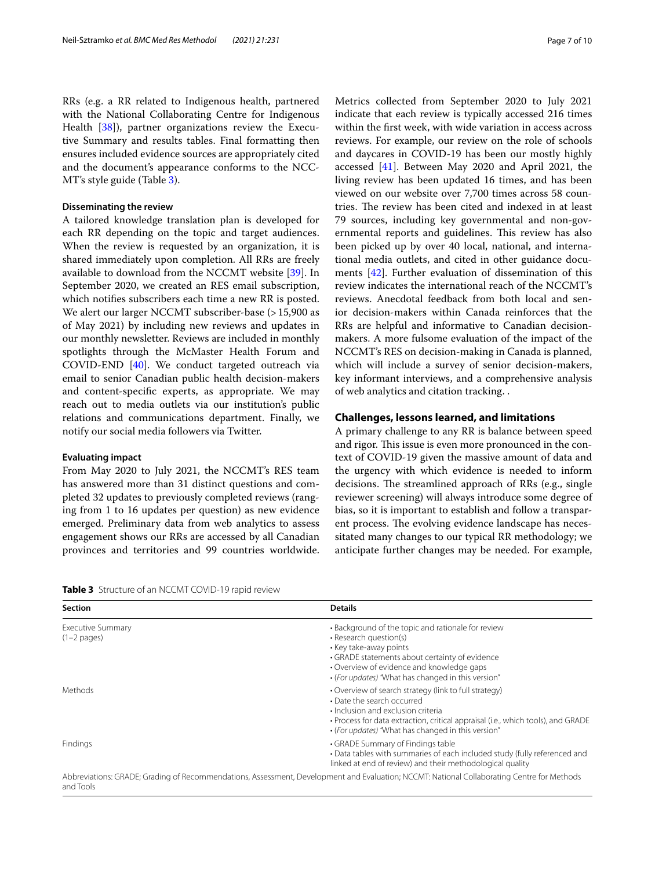RRs (e.g. a RR related to Indigenous health, partnered with the National Collaborating Centre for Indigenous Health [[38](#page-9-21)]), partner organizations review the Executive Summary and results tables. Final formatting then ensures included evidence sources are appropriately cited and the document's appearance conforms to the NCC-MT's style guide (Table [3](#page-6-0)).

# **Disseminating the review**

A tailored knowledge translation plan is developed for each RR depending on the topic and target audiences. When the review is requested by an organization, it is shared immediately upon completion. All RRs are freely available to download from the NCCMT website [[39\]](#page-9-22). In September 2020, we created an RES email subscription, which notifes subscribers each time a new RR is posted. We alert our larger NCCMT subscriber-base (>15,900 as of May 2021) by including new reviews and updates in our monthly newsletter. Reviews are included in monthly spotlights through the McMaster Health Forum and COVID-END [[40\]](#page-9-23). We conduct targeted outreach via email to senior Canadian public health decision-makers and content-specifc experts, as appropriate. We may reach out to media outlets via our institution's public relations and communications department. Finally, we notify our social media followers via Twitter.

# **Evaluating impact**

From May 2020 to July 2021, the NCCMT's RES team has answered more than 31 distinct questions and completed 32 updates to previously completed reviews (ranging from 1 to 16 updates per question) as new evidence emerged. Preliminary data from web analytics to assess engagement shows our RRs are accessed by all Canadian provinces and territories and 99 countries worldwide. Metrics collected from September 2020 to July 2021 indicate that each review is typically accessed 216 times within the frst week, with wide variation in access across reviews. For example, our review on the role of schools and daycares in COVID-19 has been our mostly highly accessed [[41](#page-9-24)]. Between May 2020 and April 2021, the living review has been updated 16 times, and has been viewed on our website over 7,700 times across 58 countries. The review has been cited and indexed in at least 79 sources, including key governmental and non-governmental reports and guidelines. This review has also been picked up by over 40 local, national, and international media outlets, and cited in other guidance documents [\[42](#page-9-25)]. Further evaluation of dissemination of this review indicates the international reach of the NCCMT's reviews. Anecdotal feedback from both local and senior decision-makers within Canada reinforces that the RRs are helpful and informative to Canadian decisionmakers. A more fulsome evaluation of the impact of the NCCMT's RES on decision-making in Canada is planned, which will include a survey of senior decision-makers, key informant interviews, and a comprehensive analysis of web analytics and citation tracking. .

# **Challenges, lessons learned, and limitations**

A primary challenge to any RR is balance between speed and rigor. This issue is even more pronounced in the context of COVID-19 given the massive amount of data and the urgency with which evidence is needed to inform decisions. The streamlined approach of RRs (e.g., single reviewer screening) will always introduce some degree of bias, so it is important to establish and follow a transparent process. The evolving evidence landscape has necessitated many changes to our typical RR methodology; we anticipate further changes may be needed. For example,

<span id="page-6-0"></span>**Table 3** Structure of an NCCMT COVID-19 rapid review

| <b>Section</b>                     | <b>Details</b>                                                                                                                                                                                                                                                      |
|------------------------------------|---------------------------------------------------------------------------------------------------------------------------------------------------------------------------------------------------------------------------------------------------------------------|
| Executive Summary<br>$(1-2$ pages) | • Background of the topic and rationale for review<br>• Research question(s)<br>• Key take-away points<br>• GRADE statements about certainty of evidence<br>• Overview of evidence and knowledge gaps<br>• (For updates) "What has changed in this version"         |
| Methods                            | • Overview of search strategy (link to full strategy)<br>• Date the search occurred<br>· Inclusion and exclusion criteria<br>• Process for data extraction, critical appraisal (i.e., which tools), and GRADE<br>• (For updates) "What has changed in this version" |
| Findings                           | • GRADE Summary of Findings table<br>• Data tables with summaries of each included study (fully referenced and<br>linked at end of review) and their methodological quality                                                                                         |
| and Tools                          | Abbreviations: GRADE; Grading of Recommendations, Assessment, Development and Evaluation; NCCMT: National Collaborating Centre for Methods                                                                                                                          |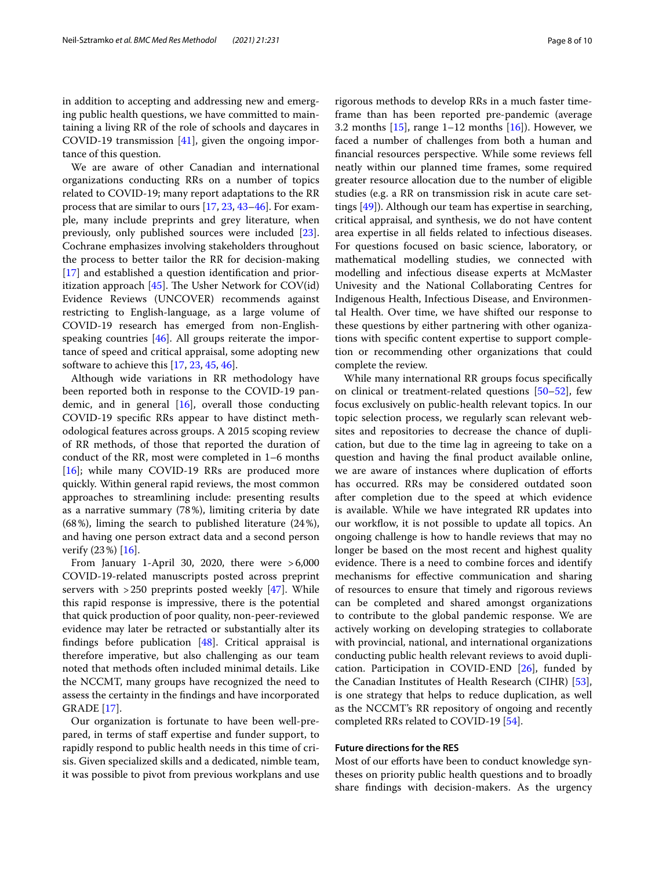We are aware of other Canadian and international organizations conducting RRs on a number of topics related to COVID-19; many report adaptations to the RR process that are similar to ours [\[17](#page-9-1), [23](#page-9-7), [43–](#page-9-26)[46](#page-9-27)]. For example, many include preprints and grey literature, when previously, only published sources were included [\[23](#page-9-7)]. Cochrane emphasizes involving stakeholders throughout the process to better tailor the RR for decision-making [[17\]](#page-9-1) and established a question identification and prioritization approach  $[45]$  $[45]$ . The Usher Network for COV(id) Evidence Reviews (UNCOVER) recommends against restricting to English-language, as a large volume of COVID-19 research has emerged from non-Englishspeaking countries  $[46]$  $[46]$ . All groups reiterate the importance of speed and critical appraisal, some adopting new software to achieve this [[17,](#page-9-1) [23](#page-9-7), [45,](#page-9-28) [46\]](#page-9-27).

Although wide variations in RR methodology have been reported both in response to the COVID-19 pandemic, and in general  $[16]$  $[16]$ , overall those conducting COVID-19 specifc RRs appear to have distinct methodological features across groups. A 2015 scoping review of RR methods, of those that reported the duration of conduct of the RR, most were completed in 1–6 months [[16\]](#page-9-0); while many COVID-19 RRs are produced more quickly. Within general rapid reviews, the most common approaches to streamlining include: presenting results as a narrative summary (78%), limiting criteria by date (68%), liming the search to published literature (24%), and having one person extract data and a second person verify (23%) [\[16\]](#page-9-0).

From January 1-April 30, 2020, there were >6,000 COVID-19-related manuscripts posted across preprint servers with  $>250$  preprints posted weekly [\[47\]](#page-9-29). While this rapid response is impressive, there is the potential that quick production of poor quality, non-peer-reviewed evidence may later be retracted or substantially alter its fndings before publication [\[48](#page-9-30)]. Critical appraisal is therefore imperative, but also challenging as our team noted that methods often included minimal details. Like the NCCMT, many groups have recognized the need to assess the certainty in the fndings and have incorporated GRADE [[17](#page-9-1)].

Our organization is fortunate to have been well-prepared, in terms of staff expertise and funder support, to rapidly respond to public health needs in this time of crisis. Given specialized skills and a dedicated, nimble team, it was possible to pivot from previous workplans and use rigorous methods to develop RRs in a much faster timeframe than has been reported pre-pandemic (average 3.2 months  $[15]$  $[15]$  $[15]$ , range 1–12 months  $[16]$  $[16]$ ). However, we faced a number of challenges from both a human and fnancial resources perspective. While some reviews fell neatly within our planned time frames, some required greater resource allocation due to the number of eligible studies (e.g. a RR on transmission risk in acute care settings [\[49\]](#page-9-31)). Although our team has expertise in searching, critical appraisal, and synthesis, we do not have content area expertise in all felds related to infectious diseases. For questions focused on basic science, laboratory, or mathematical modelling studies, we connected with modelling and infectious disease experts at McMaster Univesity and the National Collaborating Centres for Indigenous Health, Infectious Disease, and Environmental Health. Over time, we have shifted our response to these questions by either partnering with other oganizations with specifc content expertise to support completion or recommending other organizations that could complete the review.

While many international RR groups focus specifcally on clinical or treatment-related questions [[50–](#page-9-32)[52](#page-9-33)], few focus exclusively on public-health relevant topics. In our topic selection process, we regularly scan relevant websites and repositories to decrease the chance of duplication, but due to the time lag in agreeing to take on a question and having the fnal product available online, we are aware of instances where duplication of eforts has occurred. RRs may be considered outdated soon after completion due to the speed at which evidence is available. While we have integrated RR updates into our workflow, it is not possible to update all topics. An ongoing challenge is how to handle reviews that may no longer be based on the most recent and highest quality evidence. There is a need to combine forces and identify mechanisms for efective communication and sharing of resources to ensure that timely and rigorous reviews can be completed and shared amongst organizations to contribute to the global pandemic response. We are actively working on developing strategies to collaborate with provincial, national, and international organizations conducting public health relevant reviews to avoid duplication. Participation in COVID-END [[26\]](#page-9-10), funded by the Canadian Institutes of Health Research (CIHR) [\[53](#page-9-34)], is one strategy that helps to reduce duplication, as well as the NCCMT's RR repository of ongoing and recently completed RRs related to COVID-19 [[54](#page-9-35)].

# **Future directions for the RES**

Most of our efforts have been to conduct knowledge syntheses on priority public health questions and to broadly share fndings with decision-makers. As the urgency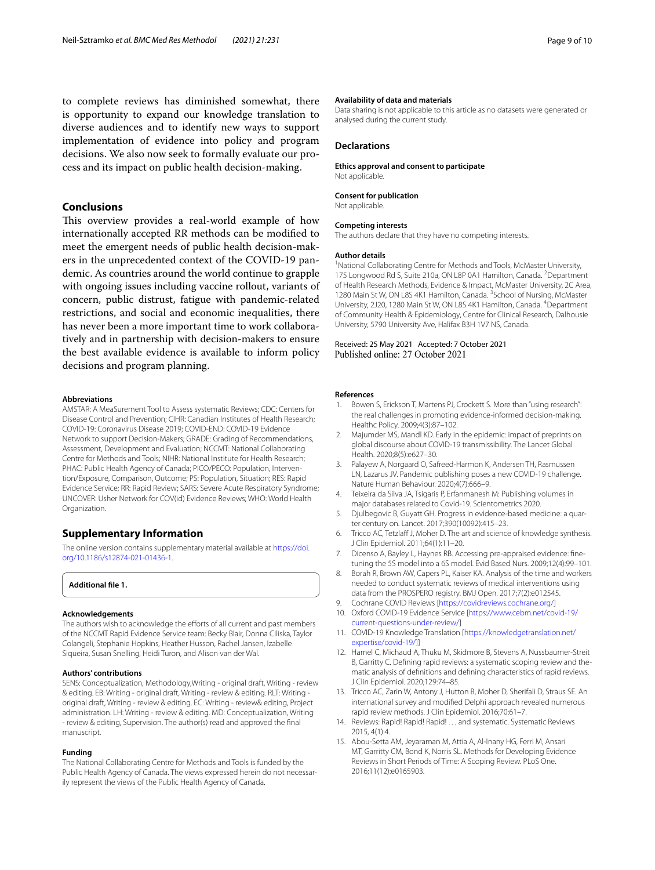to complete reviews has diminished somewhat, there is opportunity to expand our knowledge translation to diverse audiences and to identify new ways to support implementation of evidence into policy and program decisions. We also now seek to formally evaluate our process and its impact on public health decision-making.

# **Conclusions**

This overview provides a real-world example of how internationally accepted RR methods can be modifed to meet the emergent needs of public health decision-makers in the unprecedented context of the COVID-19 pandemic. As countries around the world continue to grapple with ongoing issues including vaccine rollout, variants of concern, public distrust, fatigue with pandemic-related restrictions, and social and economic inequalities, there has never been a more important time to work collaboratively and in partnership with decision-makers to ensure the best available evidence is available to inform policy decisions and program planning.

## **Abbreviations**

AMSTAR: A MeaSurement Tool to Assess systematic Reviews; CDC: Centers for Disease Control and Prevention; CIHR: Canadian Institutes of Health Research; COVID-19: Coronavirus Disease 2019; COVID-END: COVID-19 Evidence Network to support Decision-Makers; GRADE: Grading of Recommendations, Assessment, Development and Evaluation; NCCMT: National Collaborating Centre for Methods and Tools; NIHR: National Institute for Health Research; PHAC: Public Health Agency of Canada; PICO/PECO: Population, Intervention/Exposure, Comparison, Outcome; PS: Population, Situation; RES: Rapid Evidence Service; RR: Rapid Review; SARS: Severe Acute Respiratory Syndrome; UNCOVER: Usher Network for COV(id) Evidence Reviews; WHO: World Health Organization.

# **Supplementary Information**

The online version contains supplementary material available at [https://doi.](https://doi.org/10.1186/s12874-021-01436-1) [org/10.1186/s12874-021-01436-1](https://doi.org/10.1186/s12874-021-01436-1).

<span id="page-8-13"></span>**Additional fle 1.**

# **Acknowledgements**

The authors wish to acknowledge the efforts of all current and past members of the NCCMT Rapid Evidence Service team: Becky Blair, Donna Ciliska, Taylor Colangeli, Stephanie Hopkins, Heather Husson, Rachel Jansen, Izabelle Siqueira, Susan Snelling, Heidi Turon, and Alison van der Wal.

#### **Authors' contributions**

SENS: Conceptualization, Methodology,Writing - original draft, Writing - review & editing. EB: Writing - original draft, Writing - review & editing. RLT: Writing original draft, Writing - review & editing. EC: Writing - review& editing, Project administration. LH: Writing - review & editing. MD: Conceptualization, Writing - review & editing, Supervision. The author(s) read and approved the fnal manuscript.

#### **Funding**

The National Collaborating Centre for Methods and Tools is funded by the Public Health Agency of Canada. The views expressed herein do not necessarily represent the views of the Public Health Agency of Canada.

## **Availability of data and materials**

Data sharing is not applicable to this article as no datasets were generated or analysed during the current study.

# **Declarations**

**Ethics approval and consent to participate** Not applicable.

#### **Consent for publication**

Not applicable.

#### **Competing interests**

The authors declare that they have no competing interests.

## **Author details**

<sup>1</sup> National Collaborating Centre for Methods and Tools, McMaster University, 175 Longwood Rd S, Suite 210a, ON L8P 0A1 Hamilton, Canada. <sup>2</sup> Department of Health Research Methods, Evidence & Impact, McMaster University, 2C Area, 1280 Main St W, ON L8S 4K1 Hamilton, Canada. <sup>3</sup> School of Nursing, McMaster University, 2J20, 1280 Main St W, ON L8S 4K1 Hamilton, Canada. <sup>4</sup> Department of Community Health & Epidemiology, Centre for Clinical Research, Dalhousie University, 5790 University Ave, Halifax B3H 1V7 NS, Canada.

# Received: 25 May 2021 Accepted: 7 October 2021

# **References**

- <span id="page-8-0"></span>Bowen S, Erickson T, Martens PJ, Crockett S. More than "using research": the real challenges in promoting evidence-informed decision-making. Healthc Policy. 2009;4(3):87–102.
- <span id="page-8-1"></span>2. Majumder MS, Mandl KD. Early in the epidemic: impact of preprints on global discourse about COVID-19 transmissibility. The Lancet Global Health. 2020;8(5):e627–30.
- <span id="page-8-2"></span>3. Palayew A, Norgaard O, Safreed-Harmon K, Andersen TH, Rasmussen LN, Lazarus JV. Pandemic publishing poses a new COVID-19 challenge. Nature Human Behaviour. 2020;4(7):666–9.
- <span id="page-8-3"></span>4. Teixeira da Silva JA, Tsigaris P, Erfanmanesh M: Publishing volumes in major databases related to Covid-19. Scientometrics 2020.
- <span id="page-8-4"></span>5. Djulbegovic B, Guyatt GH. Progress in evidence-based medicine: a quarter century on. Lancet. 2017;390(10092):415–23.
- <span id="page-8-5"></span>6. Tricco AC, Tetzlaff J, Moher D. The art and science of knowledge synthesis. J Clin Epidemiol. 2011;64(1):11–20.
- <span id="page-8-6"></span>7. Dicenso A, Bayley L, Haynes RB. Accessing pre-appraised evidence: fnetuning the 5S model into a 6S model. Evid Based Nurs. 2009;12(4):99–101.
- <span id="page-8-7"></span>8. Borah R, Brown AW, Capers PL, Kaiser KA. Analysis of the time and workers needed to conduct systematic reviews of medical interventions using data from the PROSPERO registry. BMJ Open. 2017;7(2):e012545.
- <span id="page-8-8"></span>9. Cochrane COVID Reviews [\[https://covidreviews.cochrane.org/\]](https://covidreviews.cochrane.org/)
- 10. Oxford COVID-19 Evidence Service [\[https://www.cebm.net/covid-19/](https://www.cebm.net/covid-19/current-questions-under-review/) [current-questions-under-review/\]](https://www.cebm.net/covid-19/current-questions-under-review/)
- <span id="page-8-9"></span>11. COVID-19 Knowledge Translation [\[https://knowledgetranslation.net/](https://knowledgetranslation.net/expertise/covid-19/) [expertise/covid-19/](https://knowledgetranslation.net/expertise/covid-19/)[\]](http://knowledgetranslation.net/expertise/covid-19/)]
- <span id="page-8-10"></span>12. Hamel C, Michaud A, Thuku M, Skidmore B, Stevens A, Nussbaumer-Streit B, Garritty C. Defining rapid reviews: a systematic scoping review and thematic analysis of defnitions and defning characteristics of rapid reviews. J Clin Epidemiol. 2020;129:74–85.
- <span id="page-8-11"></span>13. Tricco AC, Zarin W, Antony J, Hutton B, Moher D, Sherifali D, Straus SE. An international survey and modifed Delphi approach revealed numerous rapid review methods. J Clin Epidemiol. 2016;70:61–7.
- <span id="page-8-12"></span>14. Reviews: Rapid! Rapid! Rapid! … and systematic. Systematic Reviews 2015, 4(1):4.
- <span id="page-8-14"></span>15. Abou-Setta AM, Jeyaraman M, Attia A, Al-Inany HG, Ferri M, Ansari MT, Garritty CM, Bond K, Norris SL. Methods for Developing Evidence Reviews in Short Periods of Time: A Scoping Review. PLoS One. 2016;11(12):e0165903.